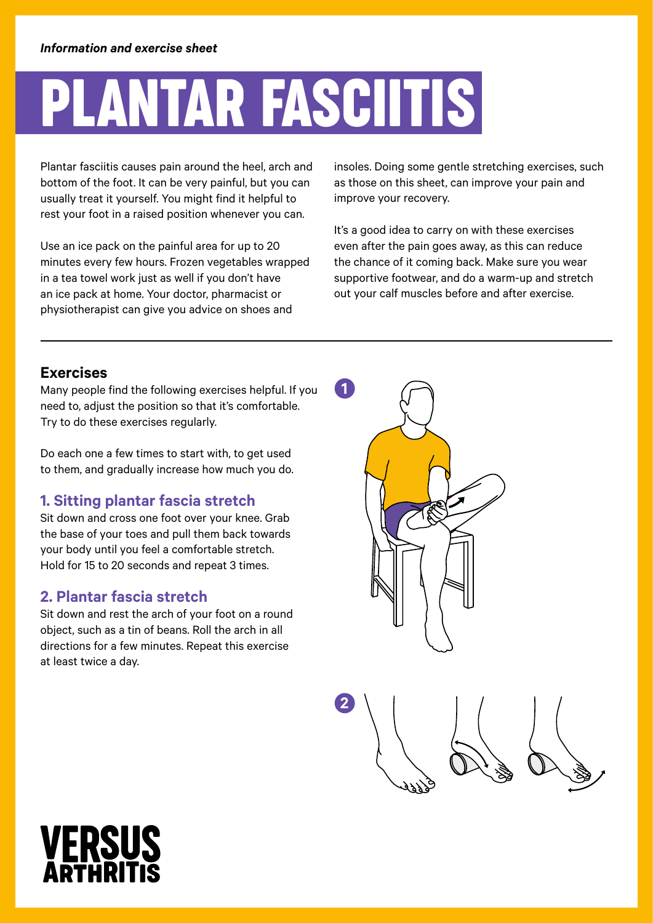## Plantar fasciitis

Plantar fasciitis causes pain around the heel, arch and bottom of the foot. It can be very painful, but you can usually treat it yourself. You might find it helpful to rest your foot in a raised position whenever you can.

Use an ice pack on the painful area for up to 20 minutes every few hours. Frozen vegetables wrapped in a tea towel work just as well if you don't have an ice pack at home. Your doctor, pharmacist or physiotherapist can give you advice on shoes and

insoles. Doing some gentle stretching exercises, such as those on this sheet, can improve your pain and improve your recovery.

It's a good idea to carry on with these exercises even after the pain goes away, as this can reduce the chance of it coming back. Make sure you wear supportive footwear, and do a warm-up and stretch out your calf muscles before and after exercise.

### **Exercises**

Many people find the following exercises helpful. If you need to, adjust the position so that it's comfortable. Try to do these exercises regularly.

Do each one a few times to start with, to get used to them, and gradually increase how much you do.

### **1. Sitting plantar fascia stretch**

Sit down and cross one foot over your knee. Grab the base of your toes and pull them back towards your body until you feel a comfortable stretch. Hold for 15 to 20 seconds and repeat 3 times.

#### **2. Plantar fascia stretch**

Sit down and rest the arch of your foot on a round object, such as a tin of beans. Roll the arch in all directions for a few minutes. Repeat this exercise at least twice a day.